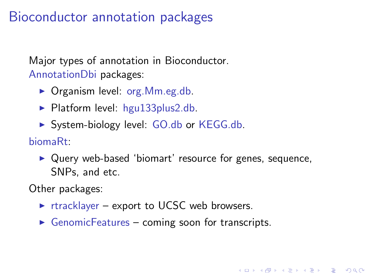## Bioconductor annotation packages

Major types of annotation in Bioconductor. AnnotationDbi packages:

- $\triangleright$  Organism level: org. Mm.eg.db.
- $\blacktriangleright$  Platform level: hgu133plus2.db.
- $\triangleright$  System-biology level: GO.db or KEGG.db.

biomaRt:

▶ Query web-based 'biomart' resource for genes, sequence, SNPs, and etc.

**KORKARYKERKER POLO** 

Other packages:

- $\triangleright$  rtracklayer export to UCSC web browsers.
- $\triangleright$  GenomicFeatures coming soon for transcripts.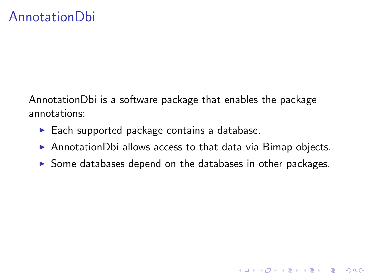AnnotationDbi is a software package that enables the package annotations:

- $\blacktriangleright$  Each supported package contains a database.
- AnnotationDbi allows access to that data via Bimap objects.
- $\triangleright$  Some databases depend on the databases in other packages.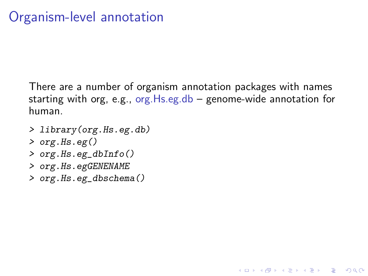There are a number of organism annotation packages with names starting with org, e.g., org.Hs.eg.db – genome-wide annotation for human.

- > library(org.Hs.eg.db)
- > org.Hs.eg()
- > org.Hs.eg\_dbInfo()
- > org.Hs.egGENENAME
- > org.Hs.eg\_dbschema()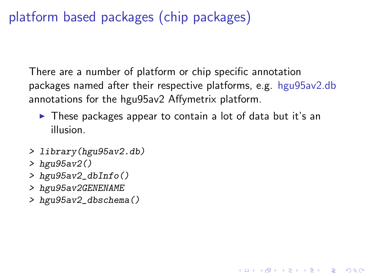# platform based packages (chip packages)

There are a number of platform or chip specific annotation packages named after their respective platforms, e.g. hgu95av2.db annotations for the hgu95av2 Affymetrix platform.

 $\triangleright$  These packages appear to contain a lot of data but it's an illusion.

- > library(hgu95av2.db)
- > hgu95av2()
- > hgu95av2\_dbInfo()
- > hgu95av2GENENAME
- > hgu95av2\_dbschema()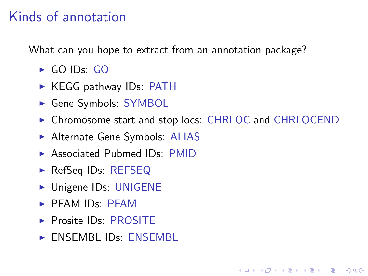## Kinds of annotation

What can you hope to extract from an annotation package?

- $\triangleright$  GO IDs: GO
- $\triangleright$  KEGG pathway IDs: PATH
- Gene Symbols: SYMBOL
- ▶ Chromosome start and stop locs: CHRLOC and CHRLOCEND

- ▶ Alternate Gene Symbols: ALIAS
- ▶ Associated Pubmed IDs: PMID
- $\triangleright$  RefSeq IDs: REFSEQ
- ▶ Unigene IDs: UNIGENE
- $\triangleright$  PFAM ID<sub>S:</sub> PFAM
- ▶ Prosite IDs: PROSITE
- $\triangleright$  ENSEMBL IDs: ENSEMBL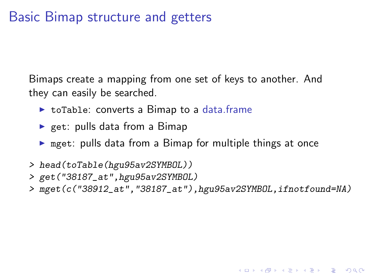## Basic Bimap structure and getters

Bimaps create a mapping from one set of keys to another. And they can easily be searched.

- $\triangleright$  toTable: converts a Bimap to a data.frame
- $\blacktriangleright$  get: pulls data from a Bimap
- $\triangleright$  mget: pulls data from a Bimap for multiple things at once
- > head(toTable(hgu95av2SYMBOL))
- > get("38187\_at",hgu95av2SYMBOL)
- > mget(c("38912\_at","38187\_at"),hgu95av2SYMBOL,ifnotfound=NA)

**KORKAR KERKER SAGA**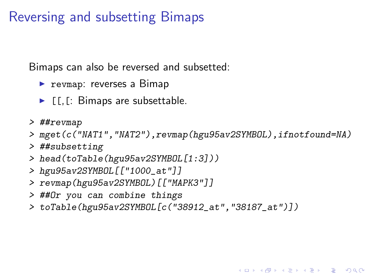## Reversing and subsetting Bimaps

Bimaps can also be reversed and subsetted:

- $\blacktriangleright$  revmap: reverses a Bimap
- $\blacktriangleright$  [[, [: Bimaps are subsettable.
- > ##revmap
- > mget(c("NAT1","NAT2"),revmap(hgu95av2SYMBOL),ifnotfound=NA)

- > ##subsetting
- > head(toTable(hgu95av2SYMBOL[1:3]))
- > hgu95av2SYMBOL[["1000\_at"]]
- > revmap(hgu95av2SYMBOL)[["MAPK3"]]
- > ##Or you can combine things
- > toTable(hgu95av2SYMBOL[c("38912\_at","38187\_at")])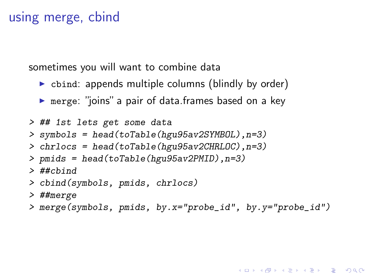### using merge, cbind

sometimes you will want to combine data

- $\triangleright$  cbind: appends multiple columns (blindly by order)
- $\triangleright$  merge: "joins" a pair of data.frames based on a key

```
> ## 1st lets get some data
> symbols = head(toTable(hgu95av2SYMBOL),n=3)
> chrlocs = head(toTable(hgu95av2CHRLOC),n=3)
> pmids = head(toTable(hgu95av2PMID),n=3)
```
- > ##cbind
- > cbind(symbols, pmids, chrlocs)
- > ##merge
- > merge(symbols, pmids, by.x="probe\_id", by.y="probe\_id")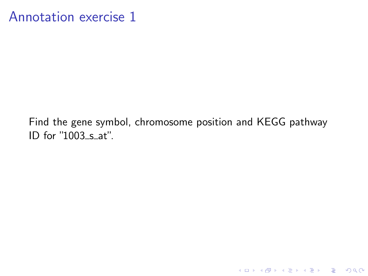#### Annotation exercise 1

Find the gene symbol, chromosome position and KEGG pathway ID for "1003\_s\_at".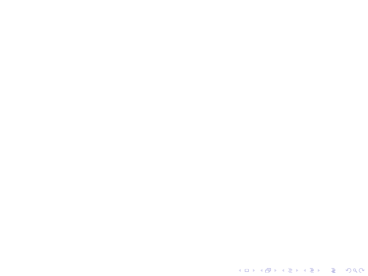K ロ K K d K K B K K B K X A K K K G K C K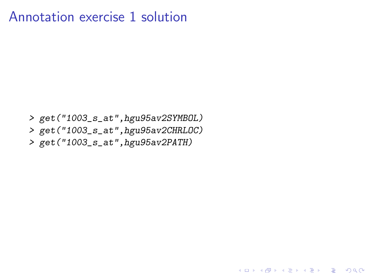#### Annotation exercise 1 solution

- > get("1003\_s\_at",hgu95av2SYMBOL)
- > get("1003\_s\_at",hgu95av2CHRLOC)

**KOD KAD KED KED DRA** 

> get("1003\_s\_at",hgu95av2PATH)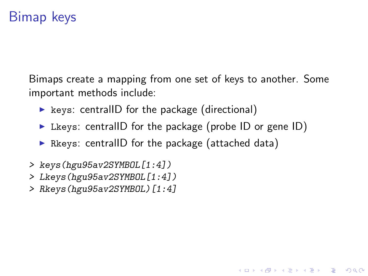# Bimap keys

Bimaps create a mapping from one set of keys to another. Some important methods include:

- $\triangleright$  keys: centrallD for the package (directional)
- Exevs: centrallD for the package (probe ID or gene ID)

- Rkeys: centralID for the package (attached data)
- > keys(hgu95av2SYMBOL[1:4])
- > Lkeys(hgu95av2SYMBOL[1:4])
- > Rkeys(hgu95av2SYMBOL)[1:4]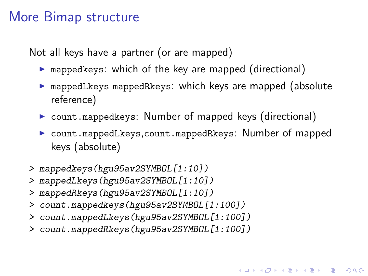### More Bimap structure

Not all keys have a partner (or are mapped)

- $\triangleright$  mappedkeys: which of the key are mapped (directional)
- **Exampled Exampled Algers:** which keys are mapped (absolute reference)
- ▶ count.mappedkeys: Number of mapped keys (directional)
- ▶ count.mappedLkeys, count.mappedRkeys: Number of mapped keys (absolute)

- > mappedkeys(hgu95av2SYMBOL[1:10])
- > mappedLkeys(hgu95av2SYMBOL[1:10])
- > mappedRkeys(hgu95av2SYMBOL[1:10])
- > count.mappedkeys(hgu95av2SYMBOL[1:100])
- > count.mappedLkeys(hgu95av2SYMBOL[1:100])
- > count.mappedRkeys(hgu95av2SYMBOL[1:100])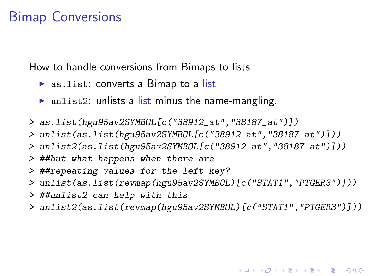## Bimap Conversions

How to handle conversions from Bimaps to lists

- $\triangleright$  as. list: converts a Bimap to a list
- $\triangleright$  unlist2: unlists a list minus the name-mangling.
- > as.list(hgu95av2SYMBOL[c("38912\_at","38187\_at")])
- > unlist(as.list(hgu95av2SYMBOL[c("38912\_at","38187\_at")]))
- > unlist2(as.list(hgu95av2SYMBOL[c("38912\_at","38187\_at")]))
- > ##but what happens when there are
- > ##repeating values for the left key?
- > unlist(as.list(revmap(hgu95av2SYMBOL)[c("STAT1","PTGER3")]))
- > ##unlist2 can help with this
- > unlist2(as.list(revmap(hgu95av2SYMBOL)[c("STAT1","PTGER3")]))

4 0 > 4 4 + 4 = + 4 = + = + + 0 4 0 +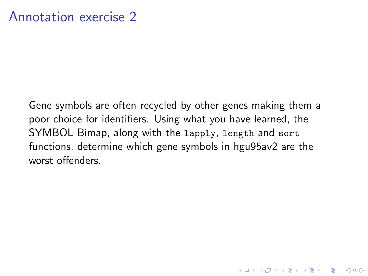#### Annotation exercise 2

Gene symbols are often recycled by other genes making them a poor choice for identifiers. Using what you have learned, the SYMBOL Bimap, along with the lapply, length and sort functions, determine which gene symbols in hgu95av2 are the worst offenders.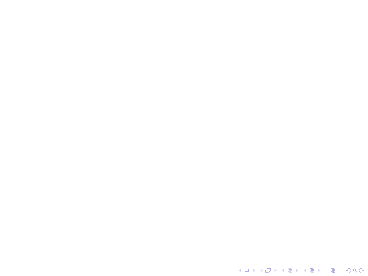K ロ K K d K K B K K B K X A K K K G K C K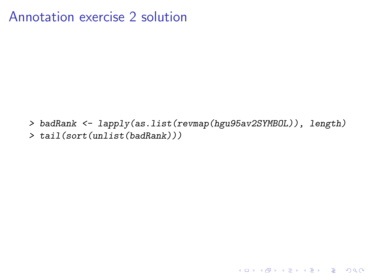### Annotation exercise 2 solution

> badRank <- lapply(as.list(revmap(hgu95av2SYMBOL)), length) > tail(sort(unlist(badRank)))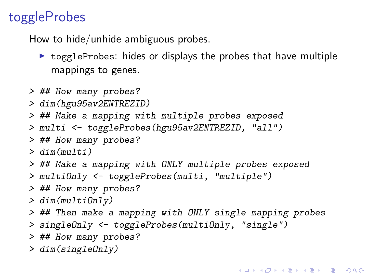## toggleProbes

How to hide/unhide ambiguous probes.

- $\triangleright$  toggleProbes: hides or displays the probes that have multiple mappings to genes.
- > ## How many probes?
- > dim(hgu95av2ENTREZID)
- > ## Make a mapping with multiple probes exposed
- > multi <- toggleProbes(hgu95av2ENTREZID, "all")
- > ## How many probes?

> dim(multi)

- > ## Make a mapping with ONLY multiple probes exposed
- > multiOnly <- toggleProbes(multi, "multiple")
- > ## How many probes?
- > dim(multiOnly)
- > ## Then make a mapping with ONLY single mapping probes
- > singleOnly <- toggleProbes(multiOnly, "single")
- > ## How many probes?
- > dim(singleOnly)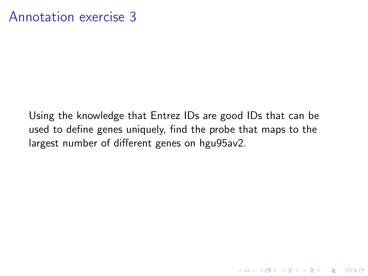#### Annotation exercise 3

Using the knowledge that Entrez IDs are good IDs that can be used to define genes uniquely, find the probe that maps to the largest number of different genes on hgu95av2.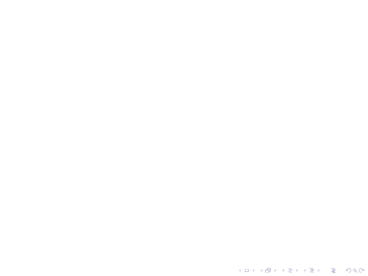K ロ K K d K K B K K B K X A K K K G K C K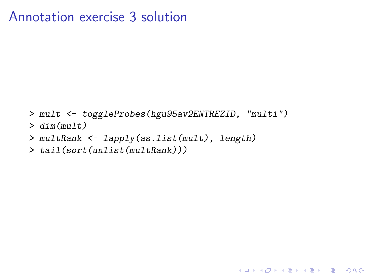#### Annotation exercise 3 solution

> mult <- toggleProbes(hgu95av2ENTREZID, "multi")

**KOD KAD KED KED DRA** 

- > dim(mult)
- > multRank <- lapply(as.list(mult), length)
- > tail(sort(unlist(multRank)))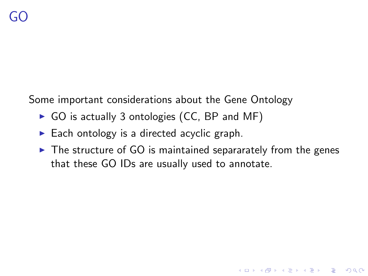Some important considerations about the Gene Ontology

- $\triangleright$  GO is actually 3 ontologies (CC, BP and MF)
- $\blacktriangleright$  Each ontology is a directed acyclic graph.
- $\triangleright$  The structure of GO is maintained separarately from the genes that these GO IDs are usually used to annotate.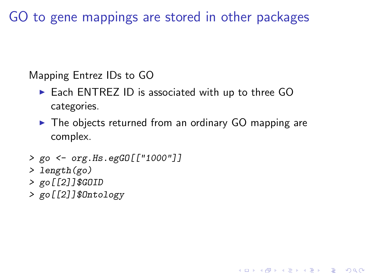GO to gene mappings are stored in other packages

Mapping Entrez IDs to GO

- $\triangleright$  Each ENTREZ ID is associated with up to three GO categories.
- $\triangleright$  The objects returned from an ordinary GO mapping are complex.

- > go <- org.Hs.egGO[["1000"]]
- > length(go)
- > go[[2]]\$GOID
- > go[[2]]\$Ontology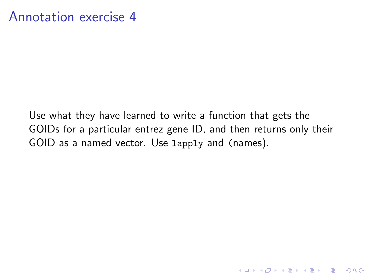#### Annotation exercise 4

Use what they have learned to write a function that gets the GOIDs for a particular entrez gene ID, and then returns only their GOID as a named vector. Use lapply and (names).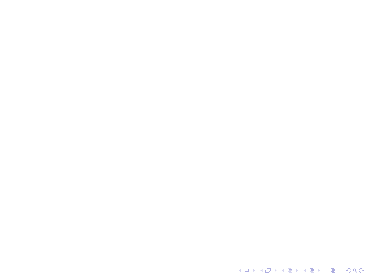K ロ K K d K K B K K B K X A K K K G K C K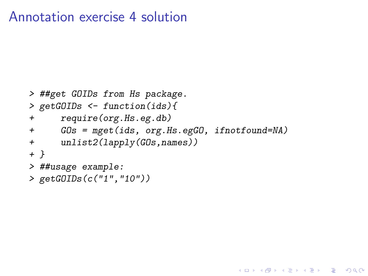## Annotation exercise 4 solution

```
> ##get GOIDs from Hs package.
> getGOIDs <- function(ids){
+ require(org.Hs.eg.db)
+ GOs = mget(ids, org.Hs.egGO, ifnotfound=NA)
+ unlist2(lapply(GOs,names))
+ }
> ##usage example:
> getGOIDs(c("1","10"))
```
**KOD KAD KED KED DRA**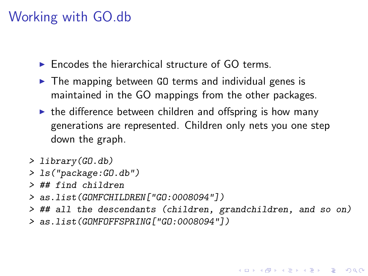## Working with GO.db

- $\triangleright$  Encodes the hierarchical structure of GO terms.
- $\triangleright$  The mapping between GO terms and individual genes is maintained in the GO mappings from the other packages.
- $\triangleright$  the difference between children and offspring is how many generations are represented. Children only nets you one step down the graph.
- > library(GO.db)
- > ls("package:GO.db")
- > ## find children
- > as.list(GOMFCHILDREN["GO:0008094"])
- > ## all the descendants (children, grandchildren, and so on)

**KORKARYKERKER POLO** 

> as.list(GOMFOFFSPRING["GO:0008094"])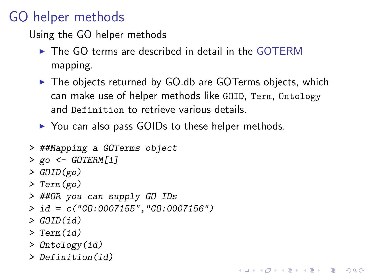# GO helper methods

Using the GO helper methods

- $\triangleright$  The GO terms are described in detail in the GOTERM mapping.
- $\blacktriangleright$  The objects returned by GO.db are GOTerms objects, which can make use of helper methods like GOID, Term, Ontology and Definition to retrieve various details.

**KORKARYKERKER POLO** 

 $\triangleright$  You can also pass GOIDs to these helper methods.

```
> ##Mapping a GOTerms object
> go <- GOTERM[1]
> GOID(go)
> Term(go)
> ##OR you can supply GO IDs
> id = c("GO:0007155","GO:0007156")
> GOID(id)
> Term(id)
> Ontology(id)
> Definition(id)
```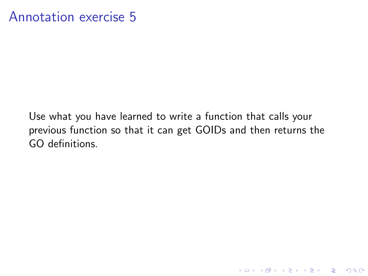### Annotation exercise 5

Use what you have learned to write a function that calls your previous function so that it can get GOIDs and then returns the GO definitions.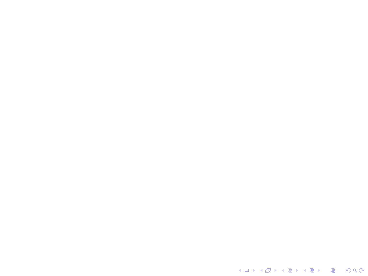K ロ K K d K K B K K B K X A K K K G K C K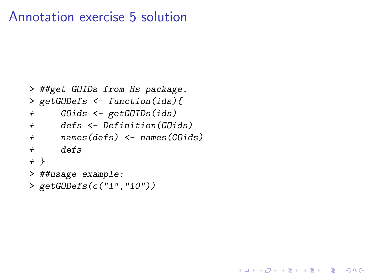### Annotation exercise 5 solution

```
> ##get GOIDs from Hs package.
> getGODefs <- function(ids){
+ GOids <- getGOIDs(ids)
+ defs <- Definition(GOids)
+ names(defs) <- names(GOids)
+ defs
+ }
> ##usage example:
> getGODefs(c("1","10"))
```
**KORK ERKER ADA ADA KORA**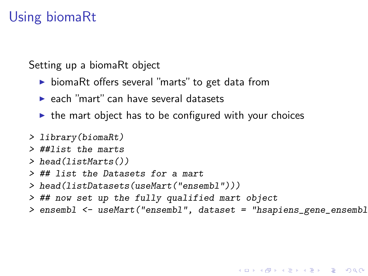## Using biomaRt

Setting up a biomaRt object

- $\triangleright$  biomaRt offers several "marts" to get data from
- $\blacktriangleright$  each "mart" can have several datasets
- $\triangleright$  the mart object has to be configured with your choices
- > library(biomaRt)
- > ##list the marts
- > head(listMarts())
- > ## list the Datasets for a mart
- > head(listDatasets(useMart("ensembl")))
- > ## now set up the fully qualified mart object
- > ensembl <- useMart("ensembl", dataset = "hsapiens\_gene\_ensembl")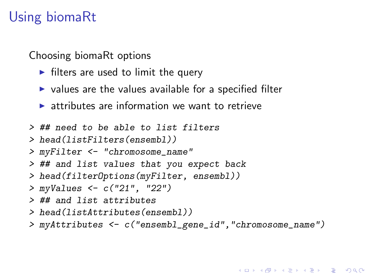## Using biomaRt

Choosing biomaRt options

- $\blacktriangleright$  filters are used to limit the query
- $\triangleright$  values are the values available for a specified filter
- $\blacktriangleright$  attributes are information we want to retrieve
- > ## need to be able to list filters
- > head(listFilters(ensembl))
- > myFilter <- "chromosome\_name"
- > ## and list values that you expect back
- > head(filterOptions(myFilter, ensembl))
- > myValues <- c("21", "22")
- > ## and list attributes
- > head(listAttributes(ensembl))
- > myAttributes <- c("ensembl\_gene\_id","chromosome\_name")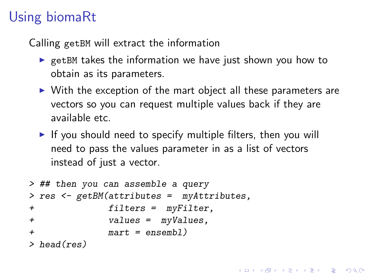# Using biomaRt

Calling getBM will extract the information

- $\triangleright$  getBM takes the information we have just shown you how to obtain as its parameters.
- $\triangleright$  With the exception of the mart object all these parameters are vectors so you can request multiple values back if they are available etc.

**KORKARYKERKER POLO** 

If you should need to specify multiple filters, then you will need to pass the values parameter in as a list of vectors instead of just a vector.

```
> ## then you can assemble a query
> res <- getBM(attributes = myAttributes,
+ filters = myFilter,
+ values = myValues,
+ mart = ensembl)
> head(res)
```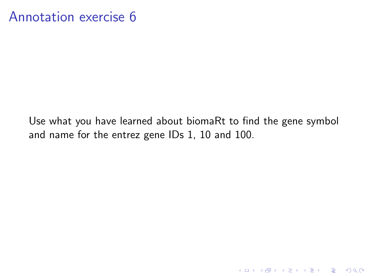#### Annotation exercise 6

Use what you have learned about biomaRt to find the gene symbol and name for the entrez gene IDs 1, 10 and 100.

KO KKOKKEKKEK E DAG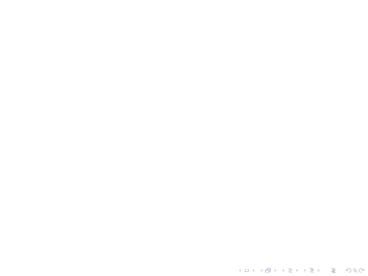K ロ K K d K K B K K B K X A K K K G K C K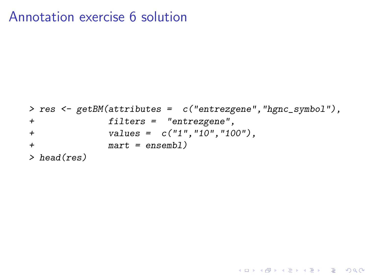### Annotation exercise 6 solution

```
> res <- getBM(attributes = c("entrezgene","hgnc_symbol"),
+ filters = "entrezgene",
+ values = c("1","10","100"),
+ mart = ensembl)
> head(res)
```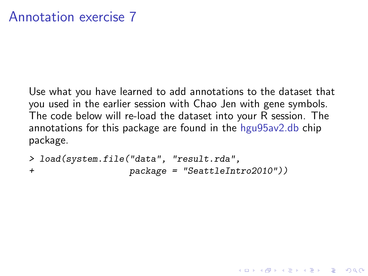Use what you have learned to add annotations to the dataset that you used in the earlier session with Chao Jen with gene symbols. The code below will re-load the dataset into your R session. The annotations for this package are found in the hgu95av2.db chip package.

4 0 > 4 4 + 4 = + 4 = + = + + 0 4 0 +

```
> load(system.file("data", "result.rda",
+ package = "SeattleIntro2010"))
```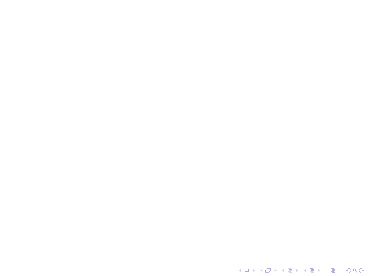K ロ K K d K K B K K B K X A K K K G K C K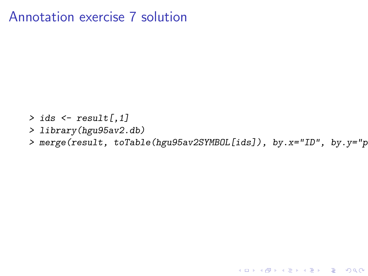### Annotation exercise 7 solution

- $>$  ids  $\le$  result[,1]
- > library(hgu95av2.db)
- > merge(result, toTable(hgu95av2SYMBOL[ids]), by.x="ID", by.y="p